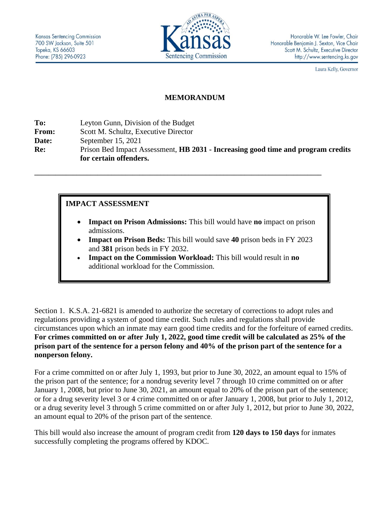

Laura Kelly, Governor

## **MEMORANDUM**

**To:** Leyton Gunn, Division of the Budget **From:** Scott M. Schultz, Executive Director **Date:** September 15, 2021 **Re:** Prison Bed Impact Assessment, **HB 2031 - Increasing good time and program credits for certain offenders.**

**\_\_\_\_\_\_\_\_\_\_\_\_\_\_\_\_\_\_\_\_\_\_\_\_\_\_\_\_\_\_\_\_\_\_\_\_\_\_\_\_\_\_\_\_\_\_\_\_\_\_\_\_\_\_\_\_\_\_\_\_\_\_\_\_\_\_\_\_\_\_\_\_\_\_\_\_\_\_\_\_\_\_**

**IMPACT ASSESSMENT**

- **Impact on Prison Admissions:** This bill would have **no** impact on prison admissions.
- **Impact on Prison Beds:** This bill would save **40** prison beds in FY 2023 and **381** prison beds in FY 2032.
- **Impact on the Commission Workload:** This bill would result in **no** additional workload for the Commission.

Section 1. K.S.A. 21-6821 is amended to authorize the secretary of corrections to adopt rules and regulations providing a system of good time credit. Such rules and regulations shall provide circumstances upon which an inmate may earn good time credits and for the forfeiture of earned credits. **For crimes committed on or after July 1, 2022, good time credit will be calculated as 25% of the prison part of the sentence for a person felony and 40% of the prison part of the sentence for a nonperson felony.**

For a crime committed on or after July 1, 1993, but prior to June 30, 2022, an amount equal to 15% of the prison part of the sentence; for a nondrug severity level 7 through 10 crime committed on or after January 1, 2008, but prior to June 30, 2021, an amount equal to 20% of the prison part of the sentence; or for a drug severity level 3 or 4 crime committed on or after January 1, 2008, but prior to July 1, 2012, or a drug severity level 3 through 5 crime committed on or after July 1, 2012, but prior to June 30, 2022, an amount equal to 20% of the prison part of the sentence.

This bill would also increase the amount of program credit from **120 days to 150 days** for inmates successfully completing the programs offered by KDOC.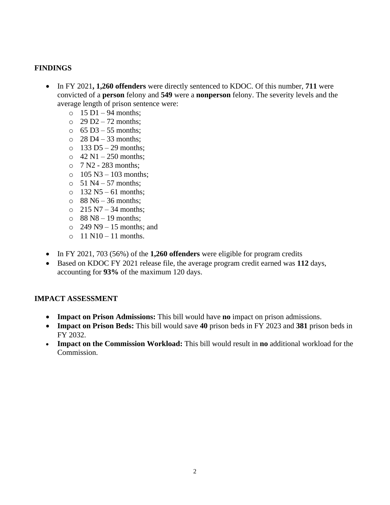## **FINDINGS**

- In FY 2021**, 1,260 offenders** were directly sentenced to KDOC. Of this number, **711** were convicted of a **person** felony and **549** were a **nonperson** felony. The severity levels and the average length of prison sentence were:
	- $\circ$  15 D1 94 months:
	- $\degree$  29 D2 72 months:
	- $\circ$  65 D3 55 months;
	- $\circ$  28 D4 33 months;
	- $\circ$  133 D5 29 months;
	- $\circ$  42 N1 250 months:
	- $\circ$  7 N2 283 months;
	- $\circ$  105 N3 103 months;
	- $\circ$  51 N4 57 months:
	- $\circ$  132 N5 61 months;
	- $\circ$  88 N6 36 months:
	- $\degree$  215 N7 34 months;
	- $\circ$  88 N8 19 months;
	- $\degree$  249 N9 15 months; and
	- $\circ$  11 N10 11 months.
- In FY 2021, 703 (56%) of the **1,260 offenders** were eligible for program credits
- Based on KDOC FY 2021 release file, the average program credit earned was **112** days, accounting for **93%** of the maximum 120 days.

## **IMPACT ASSESSMENT**

- **Impact on Prison Admissions:** This bill would have **no** impact on prison admissions.
- **Impact on Prison Beds:** This bill would save **40** prison beds in FY 2023 and **381** prison beds in FY 2032.
- **Impact on the Commission Workload:** This bill would result in **no** additional workload for the Commission.